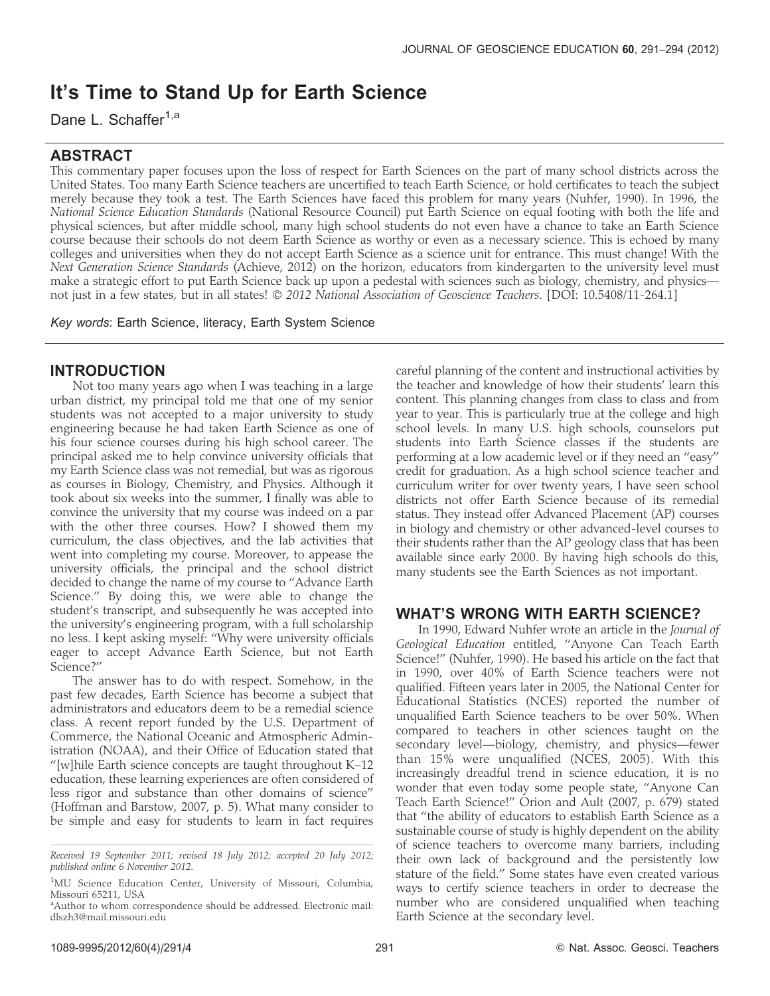# It's Time to Stand Up for Earth Science

Dane L. Schaffer<sup>1,a</sup>

## ABSTRACT

This commentary paper focuses upon the loss of respect for Earth Sciences on the part of many school districts across the United States. Too many Earth Science teachers are uncertified to teach Earth Science, or hold certificates to teach the subject merely because they took a test. The Earth Sciences have faced this problem for many years (Nuhfer, 1990). In 1996, the National Science Education Standards (National Resource Council) put Earth Science on equal footing with both the life and physical sciences, but after middle school, many high school students do not even have a chance to take an Earth Science course because their schools do not deem Earth Science as worthy or even as a necessary science. This is echoed by many colleges and universities when they do not accept Earth Science as a science unit for entrance. This must change! With the Next Generation Science Standards (Achieve, 2012) on the horizon, educators from kindergarten to the university level must make a strategic effort to put Earth Science back up upon a pedestal with sciences such as biology, chemistry, and physics not just in a few states, but in all states! © 2012 N*ational Association of Geoscience Teachers*. [DOI: 10.5408/11-264.1]

Key words: Earth Science, literacy, Earth System Science

## INTRODUCTION

Not too many years ago when I was teaching in a large urban district, my principal told me that one of my senior students was not accepted to a major university to study engineering because he had taken Earth Science as one of his four science courses during his high school career. The principal asked me to help convince university officials that my Earth Science class was not remedial, but was as rigorous as courses in Biology, Chemistry, and Physics. Although it took about six weeks into the summer, I finally was able to convince the university that my course was indeed on a par with the other three courses. How? I showed them my curriculum, the class objectives, and the lab activities that went into completing my course. Moreover, to appease the university officials, the principal and the school district decided to change the name of my course to ''Advance Earth Science.'' By doing this, we were able to change the student's transcript, and subsequently he was accepted into the university's engineering program, with a full scholarship no less. I kept asking myself: ''Why were university officials eager to accept Advance Earth Science, but not Earth Science?''

The answer has to do with respect. Somehow, in the past few decades, Earth Science has become a subject that administrators and educators deem to be a remedial science class. A recent report funded by the U.S. Department of Commerce, the National Oceanic and Atmospheric Administration (NOAA), and their Office of Education stated that ''[w]hile Earth science concepts are taught throughout K–12 education, these learning experiences are often considered of less rigor and substance than other domains of science'' (Hoffman and Barstow, 2007, p. 5). What many consider to be simple and easy for students to learn in fact requires

careful planning of the content and instructional activities by the teacher and knowledge of how their students' learn this content. This planning changes from class to class and from year to year. This is particularly true at the college and high school levels. In many U.S. high schools, counselors put students into Earth Science classes if the students are performing at a low academic level or if they need an ''easy'' credit for graduation. As a high school science teacher and curriculum writer for over twenty years, I have seen school districts not offer Earth Science because of its remedial status. They instead offer Advanced Placement (AP) courses in biology and chemistry or other advanced-level courses to their students rather than the AP geology class that has been available since early 2000. By having high schools do this, many students see the Earth Sciences as not important.

## WHAT'S WRONG WITH EARTH SCIENCE?

In 1990, Edward Nuhfer wrote an article in the Journal of Geological Education entitled, ''Anyone Can Teach Earth Science!'' (Nuhfer, 1990). He based his article on the fact that in 1990, over 40% of Earth Science teachers were not qualified. Fifteen years later in 2005, the National Center for Educational Statistics (NCES) reported the number of unqualified Earth Science teachers to be over 50%. When compared to teachers in other sciences taught on the secondary level—biology, chemistry, and physics—fewer than 15% were unqualified (NCES, 2005). With this increasingly dreadful trend in science education, it is no wonder that even today some people state, ''Anyone Can Teach Earth Science!'' Orion and Ault (2007, p. 679) stated that ''the ability of educators to establish Earth Science as a sustainable course of study is highly dependent on the ability of science teachers to overcome many barriers, including their own lack of background and the persistently low stature of the field.'' Some states have even created various ways to certify science teachers in order to decrease the number who are considered unqualified when teaching Earth Science at the secondary level.

Received 19 September 2011; revised 18 July 2012; accepted 20 July 2012; published online 6 November 2012.

<sup>&</sup>lt;sup>1</sup>MU Science Education Center, University of Missouri, Columbia, Missouri 65211, USA

<sup>&</sup>lt;sup>a</sup> Author to whom correspondence should be addressed. Electronic mail: dlszh3@mail.missouri.edu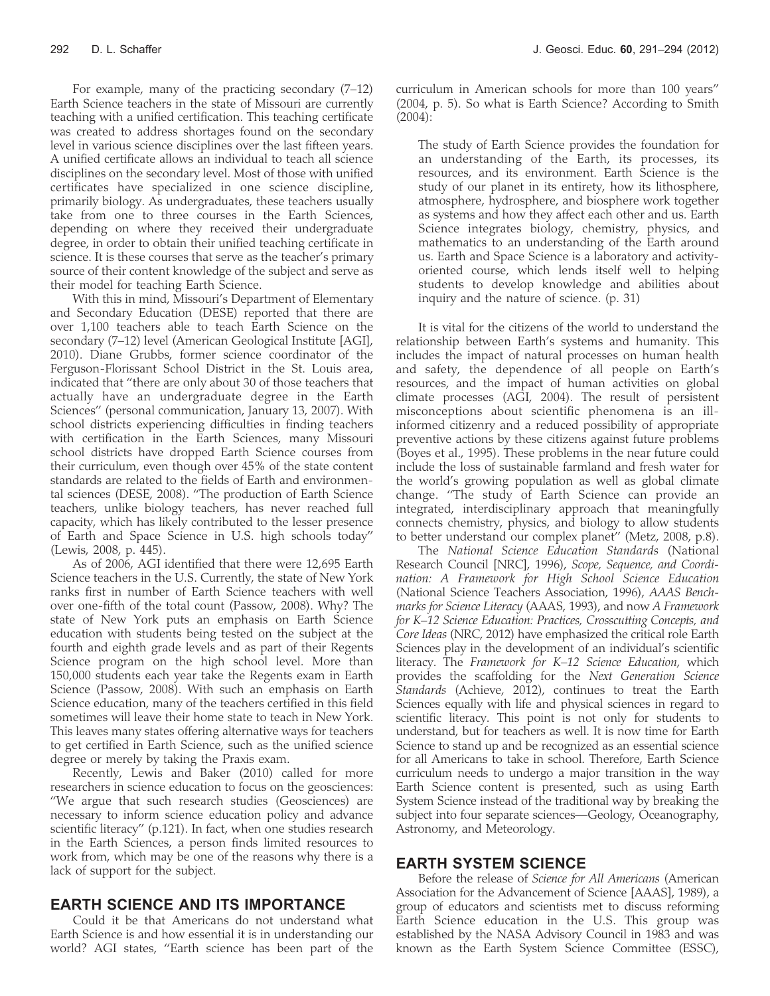For example, many of the practicing secondary (7–12) Earth Science teachers in the state of Missouri are currently teaching with a unified certification. This teaching certificate was created to address shortages found on the secondary level in various science disciplines over the last fifteen years. A unified certificate allows an individual to teach all science disciplines on the secondary level. Most of those with unified certificates have specialized in one science discipline, primarily biology. As undergraduates, these teachers usually take from one to three courses in the Earth Sciences, depending on where they received their undergraduate degree, in order to obtain their unified teaching certificate in science. It is these courses that serve as the teacher's primary source of their content knowledge of the subject and serve as their model for teaching Earth Science.

With this in mind, Missouri's Department of Elementary and Secondary Education (DESE) reported that there are over 1,100 teachers able to teach Earth Science on the secondary (7–12) level (American Geological Institute [AGI], 2010). Diane Grubbs, former science coordinator of the Ferguson-Florissant School District in the St. Louis area, indicated that ''there are only about 30 of those teachers that actually have an undergraduate degree in the Earth Sciences'' (personal communication, January 13, 2007). With school districts experiencing difficulties in finding teachers with certification in the Earth Sciences, many Missouri school districts have dropped Earth Science courses from their curriculum, even though over 45% of the state content standards are related to the fields of Earth and environmental sciences (DESE, 2008). ''The production of Earth Science teachers, unlike biology teachers, has never reached full capacity, which has likely contributed to the lesser presence of Earth and Space Science in U.S. high schools today'' (Lewis, 2008, p. 445).

As of 2006, AGI identified that there were 12,695 Earth Science teachers in the U.S. Currently, the state of New York ranks first in number of Earth Science teachers with well over one-fifth of the total count (Passow, 2008). Why? The state of New York puts an emphasis on Earth Science education with students being tested on the subject at the fourth and eighth grade levels and as part of their Regents Science program on the high school level. More than 150,000 students each year take the Regents exam in Earth Science (Passow, 2008). With such an emphasis on Earth Science education, many of the teachers certified in this field sometimes will leave their home state to teach in New York. This leaves many states offering alternative ways for teachers to get certified in Earth Science, such as the unified science degree or merely by taking the Praxis exam.

Recently, Lewis and Baker (2010) called for more researchers in science education to focus on the geosciences: ''We argue that such research studies (Geosciences) are necessary to inform science education policy and advance scientific literacy'' (p.121). In fact, when one studies research in the Earth Sciences, a person finds limited resources to work from, which may be one of the reasons why there is a lack of support for the subject.

### EARTH SCIENCE AND ITS IMPORTANCE

Could it be that Americans do not understand what Earth Science is and how essential it is in understanding our world? AGI states, ''Earth science has been part of the curriculum in American schools for more than 100 years'' (2004, p. 5). So what is Earth Science? According to Smith (2004):

The study of Earth Science provides the foundation for an understanding of the Earth, its processes, its resources, and its environment. Earth Science is the study of our planet in its entirety, how its lithosphere, atmosphere, hydrosphere, and biosphere work together as systems and how they affect each other and us. Earth Science integrates biology, chemistry, physics, and mathematics to an understanding of the Earth around us. Earth and Space Science is a laboratory and activityoriented course, which lends itself well to helping students to develop knowledge and abilities about inquiry and the nature of science. (p. 31)

It is vital for the citizens of the world to understand the relationship between Earth's systems and humanity. This includes the impact of natural processes on human health and safety, the dependence of all people on Earth's resources, and the impact of human activities on global climate processes (AGI, 2004). The result of persistent misconceptions about scientific phenomena is an illinformed citizenry and a reduced possibility of appropriate preventive actions by these citizens against future problems (Boyes et al., 1995). These problems in the near future could include the loss of sustainable farmland and fresh water for the world's growing population as well as global climate change. ''The study of Earth Science can provide an integrated, interdisciplinary approach that meaningfully connects chemistry, physics, and biology to allow students to better understand our complex planet'' (Metz, 2008, p.8).

The National Science Education Standards (National Research Council [NRC], 1996), Scope, Sequence, and Coordination: A Framework for High School Science Education (National Science Teachers Association, 1996), AAAS Benchmarks for Science Literacy (AAAS, 1993), and now A Framework for K–12 Science Education: Practices, Crosscutting Concepts, and Core Ideas (NRC, 2012) have emphasized the critical role Earth Sciences play in the development of an individual's scientific literacy. The Framework for K-12 Science Education, which provides the scaffolding for the Next Generation Science Standards (Achieve, 2012), continues to treat the Earth Sciences equally with life and physical sciences in regard to scientific literacy. This point is not only for students to understand, but for teachers as well. It is now time for Earth Science to stand up and be recognized as an essential science for all Americans to take in school. Therefore, Earth Science curriculum needs to undergo a major transition in the way Earth Science content is presented, such as using Earth System Science instead of the traditional way by breaking the subject into four separate sciences—Geology, Oceanography, Astronomy, and Meteorology.

#### EARTH SYSTEM SCIENCE

Before the release of Science for All Americans (American Association for the Advancement of Science [AAAS], 1989), a group of educators and scientists met to discuss reforming Earth Science education in the U.S. This group was established by the NASA Advisory Council in 1983 and was known as the Earth System Science Committee (ESSC),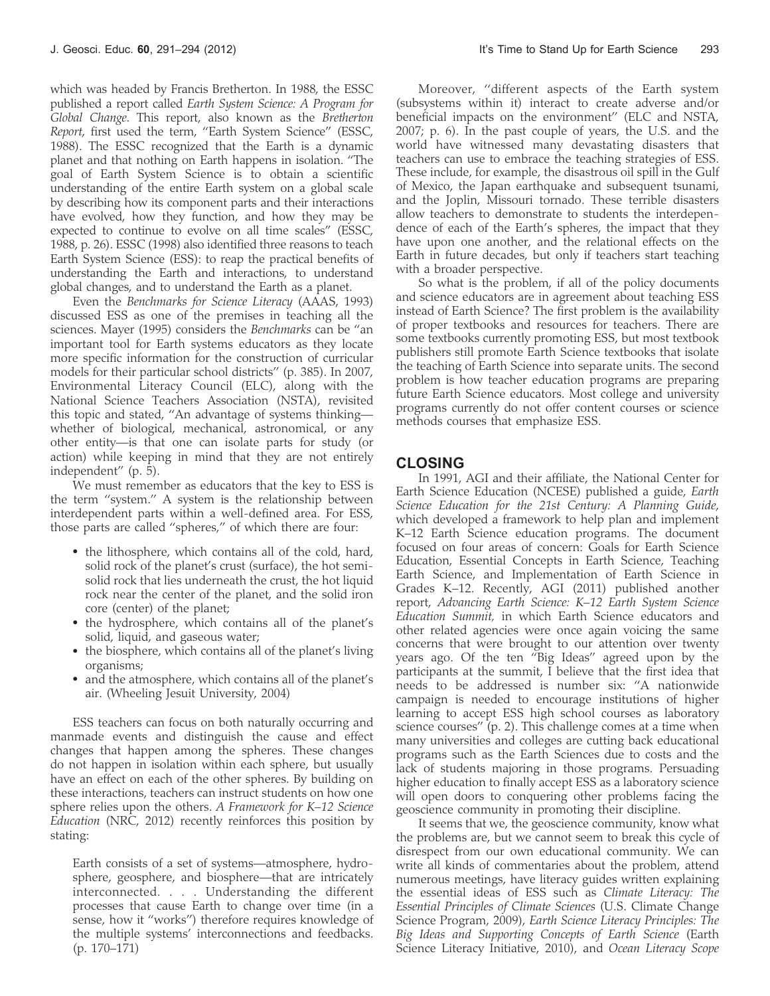which was headed by Francis Bretherton. In 1988, the ESSC published a report called Earth System Science: A Program for Global Change. This report, also known as the Bretherton Report, first used the term, ''Earth System Science'' (ESSC, 1988). The ESSC recognized that the Earth is a dynamic planet and that nothing on Earth happens in isolation. ''The goal of Earth System Science is to obtain a scientific understanding of the entire Earth system on a global scale by describing how its component parts and their interactions have evolved, how they function, and how they may be expected to continue to evolve on all time scales'' (ESSC, 1988, p. 26). ESSC (1998) also identified three reasons to teach Earth System Science (ESS): to reap the practical benefits of understanding the Earth and interactions, to understand global changes, and to understand the Earth as a planet.

Even the Benchmarks for Science Literacy (AAAS, 1993) discussed ESS as one of the premises in teaching all the sciences. Mayer (1995) considers the Benchmarks can be ''an important tool for Earth systems educators as they locate more specific information for the construction of curricular models for their particular school districts'' (p. 385). In 2007, Environmental Literacy Council (ELC), along with the National Science Teachers Association (NSTA), revisited this topic and stated, ''An advantage of systems thinking whether of biological, mechanical, astronomical, or any other entity—is that one can isolate parts for study (or action) while keeping in mind that they are not entirely independent'' (p. 5).

We must remember as educators that the key to ESS is the term ''system.'' A system is the relationship between interdependent parts within a well-defined area. For ESS, those parts are called ''spheres,'' of which there are four:

- the lithosphere, which contains all of the cold, hard, solid rock of the planet's crust (surface), the hot semisolid rock that lies underneath the crust, the hot liquid rock near the center of the planet, and the solid iron core (center) of the planet;
- the hydrosphere, which contains all of the planet's solid, liquid, and gaseous water;
- the biosphere, which contains all of the planet's living organisms;
- and the atmosphere, which contains all of the planet's air. (Wheeling Jesuit University, 2004)

ESS teachers can focus on both naturally occurring and manmade events and distinguish the cause and effect changes that happen among the spheres. These changes do not happen in isolation within each sphere, but usually have an effect on each of the other spheres. By building on these interactions, teachers can instruct students on how one sphere relies upon the others. A Framework for K-12 Science Education (NRC, 2012) recently reinforces this position by stating:

Earth consists of a set of systems—atmosphere, hydrosphere, geosphere, and biosphere—that are intricately interconnected. . . . Understanding the different processes that cause Earth to change over time (in a sense, how it ''works'') therefore requires knowledge of the multiple systems' interconnections and feedbacks. (p. 170–171)

Moreover, ''different aspects of the Earth system (subsystems within it) interact to create adverse and/or beneficial impacts on the environment'' (ELC and NSTA, 2007; p. 6). In the past couple of years, the U.S. and the world have witnessed many devastating disasters that teachers can use to embrace the teaching strategies of ESS. These include, for example, the disastrous oil spill in the Gulf of Mexico, the Japan earthquake and subsequent tsunami, and the Joplin, Missouri tornado. These terrible disasters allow teachers to demonstrate to students the interdependence of each of the Earth's spheres, the impact that they have upon one another, and the relational effects on the Earth in future decades, but only if teachers start teaching with a broader perspective.

So what is the problem, if all of the policy documents and science educators are in agreement about teaching ESS instead of Earth Science? The first problem is the availability of proper textbooks and resources for teachers. There are some textbooks currently promoting ESS, but most textbook publishers still promote Earth Science textbooks that isolate the teaching of Earth Science into separate units. The second problem is how teacher education programs are preparing future Earth Science educators. Most college and university programs currently do not offer content courses or science methods courses that emphasize ESS.

#### CLOSING

In 1991, AGI and their affiliate, the National Center for Earth Science Education (NCESE) published a guide, Earth Science Education for the 21st Century: A Planning Guide, which developed a framework to help plan and implement K–12 Earth Science education programs. The document focused on four areas of concern: Goals for Earth Science Education, Essential Concepts in Earth Science, Teaching Earth Science, and Implementation of Earth Science in Grades K–12. Recently, AGI (2011) published another report, Advancing Earth Science: K–12 Earth System Science Education Summit, in which Earth Science educators and other related agencies were once again voicing the same concerns that were brought to our attention over twenty years ago. Of the ten ''Big Ideas'' agreed upon by the participants at the summit, I believe that the first idea that needs to be addressed is number six: ''A nationwide campaign is needed to encourage institutions of higher learning to accept ESS high school courses as laboratory science courses'' (p. 2). This challenge comes at a time when many universities and colleges are cutting back educational programs such as the Earth Sciences due to costs and the lack of students majoring in those programs. Persuading higher education to finally accept ESS as a laboratory science will open doors to conquering other problems facing the geoscience community in promoting their discipline.

It seems that we, the geoscience community, know what the problems are, but we cannot seem to break this cycle of disrespect from our own educational community. We can write all kinds of commentaries about the problem, attend numerous meetings, have literacy guides written explaining the essential ideas of ESS such as Climate Literacy: The Essential Principles of Climate Sciences (U.S. Climate Change Science Program, 2009), Earth Science Literacy Principles: The Big Ideas and Supporting Concepts of Earth Science (Earth Science Literacy Initiative, 2010), and Ocean Literacy Scope